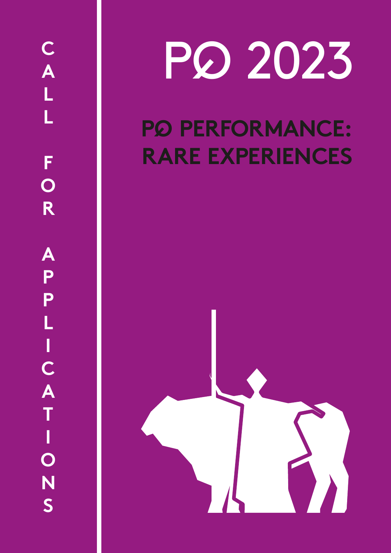# PQ 2023

### **P PERFORMANCE: QRARE EXPERIENCES**

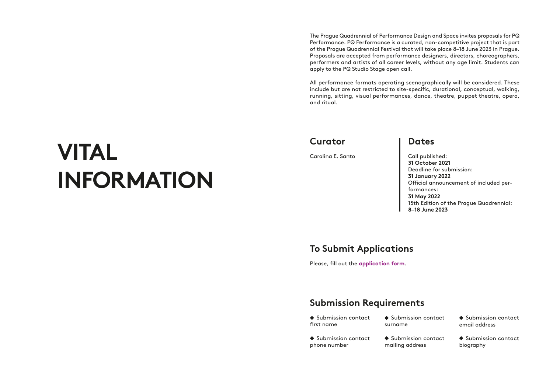### **VITAL INFORMATION**

### **To Submit Applications**

Please, fill out the **[application form](https://docs.google.com/forms/d/e/1FAIpQLSf6EvdhgrloBlz-2RgX1k7iek3GQt4lynirCvW3AmIUB_4ISw/viewform?usp=sf_link)**.

#### **Dates**

Call published: **31 October 2021** Deadline for submission: **31 January 2022** Official announcement of included performances: **31 May 2022** 15th Edition of the Prague Quadrennial: **8–18 June 2023**

#### **Curator**

Carolina E. Santo

 $\blacklozenge$  Submission contact first name

 $\blacklozenge$  Submission contact

The Prague Quadrennial of Performance Design and Space invites proposals for PQ Performance. PQ Performance is a curated, non-competitive project that is part of the Prague Quadrennial Festival that will take place 8–18 June 2023 in Prague. Proposals are accepted from performance designers, directors, choreographers, performers and artists of all career levels, without any age limit. Students can apply to the PQ Studio Stage open call.

All performance formats operating scenographically will be considered. These include but are not restricted to site-specific, durational, conceptual, walking, running, sitting, visual performances, dance, theatre, puppet theatre, opera, and ritual.

#### **Submission Requirements**

phone number

| $\blacklozenge$ Submission contact | ♦ Submission contact |
|------------------------------------|----------------------|
| surname                            | email address        |
| $\blacklozenge$ Submission contact | ♦ Submission contact |
| mailing address                    | biography            |

 $\triangle$  Submission mailing addre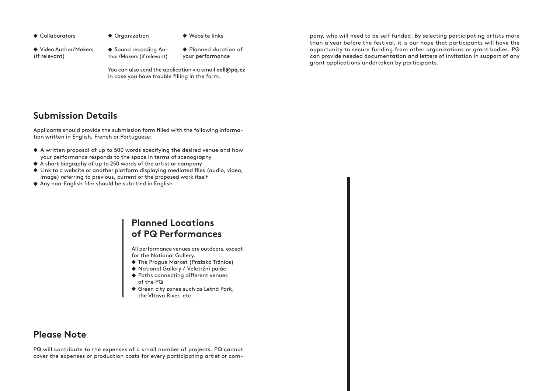#### **Please Note**

PQ will contribute to the expenses of a small number of projects. PQ cannot cover the expenses or production costs for every participating artist or com-

#### **Submission Details**

Applicants should provide the submission form filled with the following information written in English, French or Portuguese:

- A written proposal of up to 500 words specifying the desired venue and how your performance responds to the space in terms of scenography
- A short biography of up to 250 words of the artist or company
- Link to a website or another platform displaying mediated files (audio, video, image) referring to previous, current or the proposed work itself
- Any non-English film should be subtitled in English
- 
- ◆ Collaborators → Organization → Website links

◆ Video Author/Makers (if relevant)

◆ Sound recording Author/Makers (if relevant)

◆ Planned duration of your performance

#### **Planned Locations of PQ Performances**

All performance venues are outdoors, except for the National Gallery.

- The Prague Market (Pražská Tržnice)
- National Gallery / Veletržní palác
- ◆ Paths connecting different venues of the PQ
- Green city zones such as Letná Park, the Vltava River, etc.

pany, who will need to be self funded. By selecting participating artists more than a year before the festival, it is our hope that participants will have the opportunity to secure funding from other organizations or grant bodies. PQ can provide needed documentation and letters of invitation in support of any grant applications undertaken by participants.

You can also send the application via email **[call@pq.cz](mailto:call%40pq.cz?subject=)** in case you have trouble filling in the form.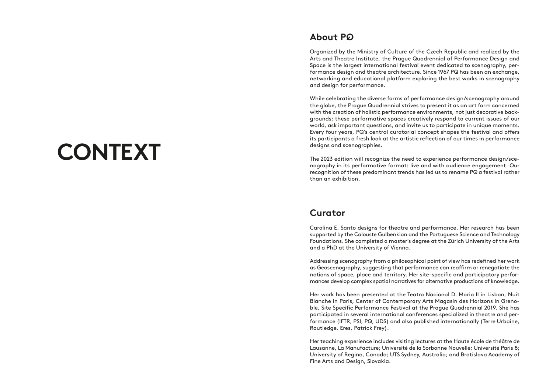### **CONTEXT**

Organized by the Ministry of Culture of the Czech Republic and realized by the Arts and Theatre Institute, the Prague Quadrennial of Performance Design and Space is the largest international festival event dedicated to scenography, performance design and theatre architecture. Since 1967 PQ has been an exchange, networking and educational platform exploring the best works in scenography and design for performance.

While celebrating the diverse forms of performance design/scenography around the globe, the Prague Quadrennial strives to present it as an art form concerned with the creation of holistic performance environments, not just decorative backgrounds; these performative spaces creatively respond to current issues of our world, ask important questions, and invite us to participate in unique moments. Every four years, PQ's central curatorial concept shapes the festival and offers its participants a fresh look at the artistic reflection of our times in performance designs and scenographies.

The 2023 edition will recognize the need to experience performance design/scenography in its performative format: live and with audience engagement. Our recognition of these predominant trends has led us to rename PQ a festival rather than an exhibition.

#### **Curator**

#### **About P Q**

Carolina E. Santo designs for theatre and performance. Her research has been supported by the Calouste Gulbenkian and the Portuguese Science and Technology Foundations. She completed a master's degree at the Zürich University of the Arts and a PhD at the University of Vienna.

Addressing scenography from a philosophical point of view has redefined her work as Geoscenography, suggesting that performance can reaffirm or renegotiate the notions of space, place and territory. Her site-specific and participatory performances develop complex spatial narratives for alternative productions of knowledge.

Her work has been presented at the Teatro Nacional D. Maria II in Lisbon, Nuit Blanche in Paris, Center of Contemporary Arts Magasin des Horizons in Grenoble, Site Specific Performance Festival at the Prague Quadrennial 2019. She has participated in several international conferences specialized in theatre and performance (IFTR, PSI, PQ, UDS) and also published internationally (Terre Urbaine, Routledge, Eres, Patrick Frey).

Her teaching experience includes visiting lectures at the Haute école de théâtre de Lausanne, La Manufacture; Université de la Sorbonne Nouvelle; Université Paris 8; University of Regina, Canada; UTS Sydney, Australia; and Bratislava Academy of Fine Arts and Design, Slovakia.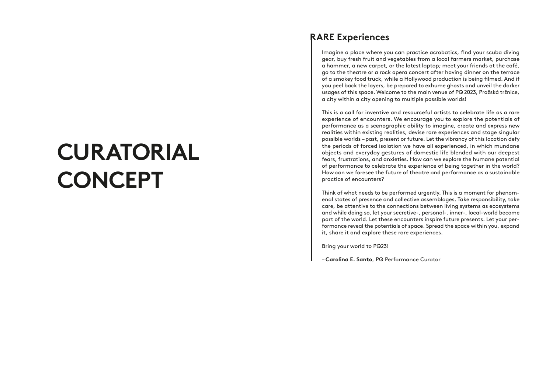### **CURATORIAL CONCEPT**

Imagine a place where you can practice acrobatics, find your scuba diving gear, buy fresh fruit and vegetables from a local farmers market, purchase a hammer, a new carpet, or the latest laptop; meet your friends at the café, go to the theatre or a rock opera concert after having dinner on the terrace of a smokey food truck, while a Hollywood production is being filmed. And if you peel back the layers, be prepared to exhume ghosts and unveil the darker usages of this space. Welcome to the main venue of PQ 2023, Pražská tržnice, a city within a city opening to multiple possible worlds!

This is a call for inventive and resourceful artists to celebrate life as a rare experience of encounters. We encourage you to explore the potentials of performance as a scenographic ability to imagine, create and express new realities within existing realities, devise rare experiences and stage singular possible worlds – past, present or future. Let the vibrancy of this location defy the periods of forced isolation we have all experienced, in which mundane objects and everyday gestures of domestic life blended with our deepest fears, frustrations, and anxieties. How can we explore the humane potential of performance to celebrate the experience of being together in the world? How can we foresee the future of theatre and performance as a sustainable practice of encounters?

Think of what needs to be performed urgently. This is a moment for phenomenal states of presence and collective assemblages. Take responsibility, take care, be attentive to the connections between living systems as ecosystems and while doing so, let your secretive-, personal-, inner-, local-world become part of the world. Let these encounters inspire future presents. Let your performance reveal the potentials of space. Spread the space within you, expand it, share it and explore these rare experiences.

Bring your world to PQ23!

– **Carolina E. Santo**, PQ Performance Curator

#### **RARE Experiences**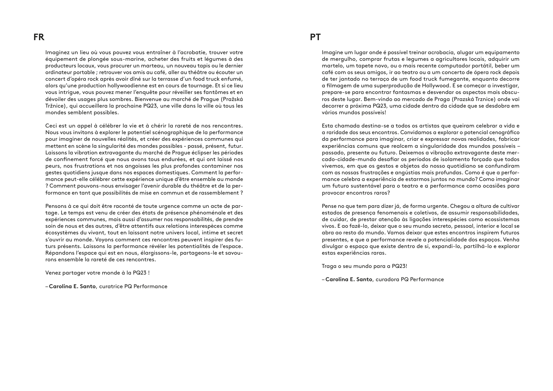Imaginez un lieu où vous pouvez vous entraîner à l'acrobatie, trouver votre équipement de plongée sous-marine, acheter des fruits et légumes à des producteurs locaux, vous procurer un marteau, un nouveau tapis ou le dernier ordinateur portable ; retrouver vos amis au café, aller au théâtre ou écouter un concert d'opéra rock après avoir dîné sur la terrasse d'un food truck enfumé, alors qu'une production hollywoodienne est en cours de tournage. Et si ce lieu vous intrigue, vous pouvez mener l'enquête pour réveiller ses fantômes et en dévoiler des usages plus sombres. Bienvenue au marché de Prague (Pražská Tržnice), qui accueillera la prochaine PQ23, une ville dans la ville où tous les mondes semblent possibles.

Ceci est un appel à célébrer la vie et à chérir la rareté de nos rencontres. Nous vous invitons à explorer le potentiel scénographique de la performance pour imaginer de nouvelles réalités, et créer des expériences communes qui mettent en scène la singularité des mondes possibles - passé, présent, futur. Laissons la vibration extravagante du marché de Prague éclipser les périodes de confinement forcé que nous avons tous endurées, et qui ont laissé nos peurs, nos frustrations et nos angoisses les plus profondes contaminer nos gestes quotidiens jusque dans nos espaces domestiques. Comment la performance peut-elle célébrer cette expérience unique d'être ensemble au monde ? Comment pouvons-nous envisager l'avenir durable du théâtre et de la performance en tant que possibilités de mise en commun et de rassemblement ?

Pensons à ce qui doit être raconté de toute urgence comme un acte de partage. Le temps est venu de créer des états de présence phénoménale et des expériences communes, mais aussi d'assumer nos responsabilités, de prendre soin de nous et des autres, d'être attentifs aux relations interespèces comme écosystèmes du vivant, tout en laissant notre univers local, intime et secret s'ouvrir au monde. Voyons comment ces rencontres peuvent inspirer des futurs présents. Laissons la performance révéler les potentialités de l'espace. Répandons l'espace qui est en nous, élargissons-le, partageons-le et savourons ensemble la rareté de ces rencontres.

Venez partager votre monde à la PQ23 !

– **Carolina E. Santo**, curatrice PQ Performance

Imagine um lugar onde é possível treinar acrobacia, alugar um equipamento de mergulho, comprar frutas e legumes a agricultores locais, adquirir um martelo, um tapete novo, ou o mais recente computador portátil, beber um café com os seus amigos, ir ao teatro ou a um concerto de ópera rock depois de ter jantado no terraço de um food truck fumegante, enquanto decorre a filmagem de uma superprodução de Hollywood. E se começar a investigar, prepare-se para encontrar fantasmas e desvendar os aspectos mais obscuros deste lugar. Bem-vindo ao mercado de Praga (Prazská Trznice) onde vai decorrer a próxima PQ23, uma cidade dentro da cidade que se desdobra em vários mundos possíveis!

Esta chamada destina-se a todos os artistas que queiram celebrar a vida e a raridade dos seus encontros. Convidamos a explorar o potencial cenográfico da performance para imaginar, criar e expressar novas realidades, fabricar experiências comuns que realcem a singularidade dos mundos possíveis – passado, presente ou futuro. Deixemos a vibração extravagante deste mercado-cidade-mundo desafiar os períodos de isolamento forçado que todos vivemos, em que os gestos e objetos do nosso quotidiano se confundiram com as nossas frustrações e angústias mais profundas. Como é que a performance celebra a experiência de estarmos juntos no mundo? Como imaginar um futuro sustentável para o teatro e a performance como ocasiões para provocar encontros raros?

Pense no que tem para dizer já, de forma urgente. Chegou a altura de cultivar estados de presença fenomenais e coletivos, de assumir responsabilidades, de cuidar, de prestar atenção às ligações interespécies como ecossistemas vivos. E ao fazê-lo, deixar que o seu mundo secreto, pessoal, interior e local se abra ao resto do mundo. Vamos deixar que estes encontros inspirem futuros presentes, e que a performance revele a potencialidade dos espaços. Venha divulgar o espaço que existe dentro de si, expandi-lo, partilhá-lo e explorar estas experiências raras.

Traga o seu mundo para a PQ23!

– **Carolina E. Santo**, curadora PQ Performance

#### **FR PT**